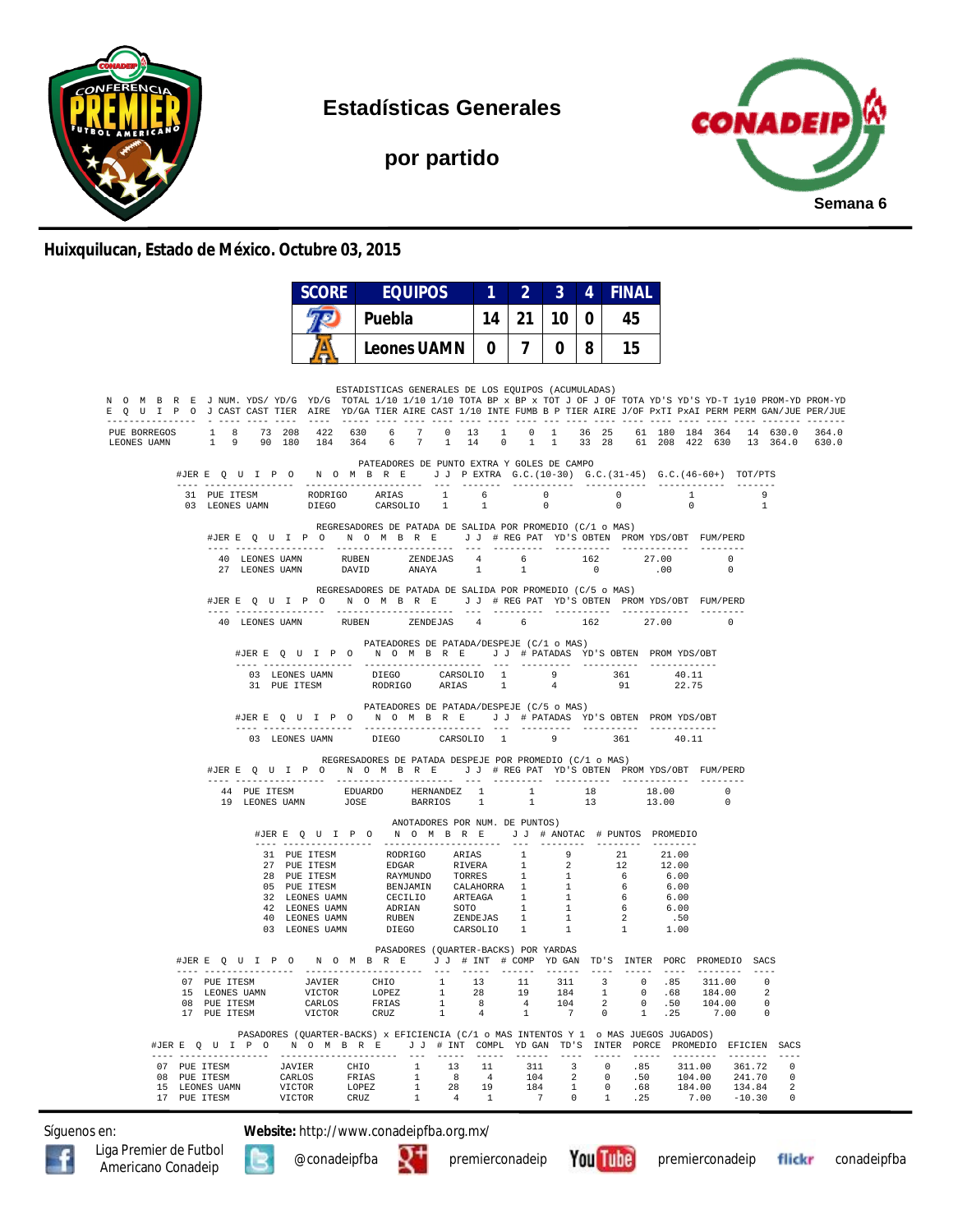

**Estadísticas Generales**

**por partido**



#### **Huixquilucan, Estado de México. Octubre 03, 2015**

|                                                                                                                                                                                                                                                        |                                                                                           |                  | <b>SCORE</b>            |               |               | <b>EQUIPOS</b> |                                                                                                                                                                     |                                  | $\mathbf{1}$ | $2 \mid 3 \mid$                                                                         |                | $\overline{4}$ |                                  | <b>FINAL</b>         |                        |                         |                      |                   |                       |  |
|--------------------------------------------------------------------------------------------------------------------------------------------------------------------------------------------------------------------------------------------------------|-------------------------------------------------------------------------------------------|------------------|-------------------------|---------------|---------------|----------------|---------------------------------------------------------------------------------------------------------------------------------------------------------------------|----------------------------------|--------------|-----------------------------------------------------------------------------------------|----------------|----------------|----------------------------------|----------------------|------------------------|-------------------------|----------------------|-------------------|-----------------------|--|
|                                                                                                                                                                                                                                                        |                                                                                           |                  |                         |               | Puebla        |                |                                                                                                                                                                     |                                  |              | $14$   21   10                                                                          |                | 0 <sup>1</sup> | 45                               |                      |                        |                         |                      |                   |                       |  |
|                                                                                                                                                                                                                                                        |                                                                                           |                  |                         |               |               |                |                                                                                                                                                                     |                                  |              |                                                                                         |                |                |                                  |                      |                        |                         |                      |                   |                       |  |
|                                                                                                                                                                                                                                                        |                                                                                           |                  |                         |               |               |                |                                                                                                                                                                     |                                  |              |                                                                                         |                |                |                                  |                      |                        |                         |                      |                   |                       |  |
| N O M B R E J NUM. YDS/YD/G YD/G TOTAL 1/10 1/10 1/10 TOTA BP x BP x TOT J OF J OF TOTA YD'S YD-T 1y10 PROM-YD PROM-YD<br>E Q U I P O J CAST CAST TIER AIRE YD/GA TIER AIRE CAST 1/10 INTE FUMB B P TIER AIRE J/OF PXTI PXAI PERM BERM GAN/JUE PER/JUE |                                                                                           |                  |                         |               |               |                | ESTADISTICAS GENERALES DE LOS EQUIPOS (ACUMULADAS)                                                                                                                  |                                  |              |                                                                                         |                |                |                                  |                      |                        |                         |                      |                   |                       |  |
| PUE BORREGOS 1 8 73 208 422 630 6 7 0 13 1 0 1 36 25 61 180 184 364 14 630.0 364.0<br>LEONES UAMN                                                                                                                                                      | 1 9 90 180 184 364 6 7 1 14 0 1 1 33 28 61 208 422 630 13 364.0 630.0                     |                  |                         |               |               |                |                                                                                                                                                                     |                                  |              |                                                                                         |                |                |                                  |                      |                        |                         |                      |                   |                       |  |
|                                                                                                                                                                                                                                                        | #JERE Q U I P O N O M B R E J J PEXTRA G.C. (10-30) G.C. (31-45) G.C. (46-60+) TOT/PTS    |                  |                         |               |               |                | PATEADORES DE PUNTO EXTRA Y GOLES DE CAMPO                                                                                                                          |                                  |              |                                                                                         |                |                |                                  |                      |                        |                         |                      |                   |                       |  |
|                                                                                                                                                                                                                                                        | 31 PUE ITESM RODRIGO ARIAS $1$ 6 0 0 0 1<br>03 LEONES UAMN DIEGO CARSOLIO 1 1 0 0 0       |                  |                         |               |               |                |                                                                                                                                                                     |                                  |              |                                                                                         |                |                |                                  |                      |                        |                         |                      | 9<br>$\mathbf{1}$ |                       |  |
|                                                                                                                                                                                                                                                        | #JERE Q U I P O N O M B R E J J # REG PAT YD'S OBTEN PROMYDS/OBT FUM/PERD                 |                  |                         |               |               |                | REGRESADORES DE PATADA DE SALIDA POR PROMEDIO (C/1 o MAS)                                                                                                           |                                  |              |                                                                                         |                |                |                                  |                      |                        |                         |                      |                   |                       |  |
|                                                                                                                                                                                                                                                        |                                                                                           |                  |                         |               |               |                | $\begin{tabular}{lcccccc} 40 & LEONES UAMN & RUBEN & ZENDEJAS & 4 & 6 & 162 & 27.00 & 0 \\ 27 & LEONES UAMN & DAVID & ANAYA & 1 & 1 & 0 & .00 & 0 \\ \end{tabular}$ |                                  |              |                                                                                         |                |                |                                  |                      |                        |                         |                      |                   |                       |  |
|                                                                                                                                                                                                                                                        | #JERE Q U I P O N O M B R E J J # REG PAT YD'S OBTEN PROMYDS/OBT FUM/PERD                 |                  |                         |               |               |                | REGRESADORES DE PATADA DE SALIDA POR PROMEDIO (C/5 o MAS)                                                                                                           |                                  |              |                                                                                         |                |                |                                  |                      |                        |                         |                      |                   |                       |  |
|                                                                                                                                                                                                                                                        |                                                                                           |                  |                         |               |               |                | 40 LEONES UAMN RUBEN ZENDEJAS 4 6 162 27.00                                                                                                                         |                                  |              |                                                                                         |                |                |                                  |                      |                        |                         | $\overline{0}$       |                   |                       |  |
|                                                                                                                                                                                                                                                        |                                                                                           |                  |                         |               |               |                | PATEADORES DE PATADA/DESPEJE (C/1 o MAS)<br>#JERE Q U I P O N O M B R E J J # PATADAS YD'S OBTEN PROMYDS/OBT                                                        |                                  |              |                                                                                         |                |                |                                  |                      |                        |                         |                      |                   |                       |  |
|                                                                                                                                                                                                                                                        |                                                                                           |                  |                         |               |               |                | 03 LEONES UAMN DIEGO CARSOLIO 1 9 9 361 1905 ETESM RODRIGO ARIAS 1 4 91 91                                                                                          |                                  |              |                                                                                         |                |                |                                  |                      | 40.11<br>22.75         |                         |                      |                   |                       |  |
|                                                                                                                                                                                                                                                        |                                                                                           |                  |                         |               |               |                | PATEADORES DE PATADA/DESPEJE (C/5 o MAS)<br>#JERE QUIPO NOMBRE JJ #PATADAS YD'S OBTEN PROMYDS/OBT                                                                   |                                  |              |                                                                                         |                |                |                                  |                      |                        |                         |                      |                   |                       |  |
|                                                                                                                                                                                                                                                        |                                                                                           |                  |                         |               |               |                | 03 LEONES UAMN DIEGO CARSOLIO 1 9 361                                                                                                                               |                                  |              |                                                                                         |                |                |                                  |                      | 40.11                  |                         |                      |                   |                       |  |
|                                                                                                                                                                                                                                                        | #JERE QUIPO NOMBRE JJ #REGPAT YD'S OBTEN PROMYDS/OBT FUM/PERD                             |                  |                         |               |               |                | REGRESADORES DE PATADA DESPEJE POR PROMEDIO (C/1 o MAS)                                                                                                             |                                  |              |                                                                                         |                |                |                                  |                      |                        |                         |                      |                   |                       |  |
|                                                                                                                                                                                                                                                        |                                                                                           |                  |                         |               |               |                |                                                                                                                                                                     |                                  |              |                                                                                         |                |                |                                  |                      |                        |                         | $\Omega$<br>$\Omega$ |                   |                       |  |
|                                                                                                                                                                                                                                                        |                                                                                           |                  |                         |               |               |                | ANOTADORES POR NUM. DE PUNTOS)<br>#JERE OUIPO NOMBRE JJ # ANOTAC # PUNTOS PROMEDIO                                                                                  |                                  |              |                                                                                         |                |                |                                  |                      |                        |                         |                      |                   |                       |  |
|                                                                                                                                                                                                                                                        |                                                                                           |                  |                         |               |               |                |                                                                                                                                                                     |                                  |              |                                                                                         |                |                |                                  |                      |                        |                         |                      |                   |                       |  |
|                                                                                                                                                                                                                                                        |                                                                                           |                  |                         |               |               |                |                                                                                                                                                                     |                                  |              |                                                                                         |                |                |                                  |                      |                        |                         |                      |                   |                       |  |
|                                                                                                                                                                                                                                                        |                                                                                           |                  |                         |               |               |                |                                                                                                                                                                     |                                  |              |                                                                                         |                |                |                                  |                      |                        |                         |                      |                   |                       |  |
|                                                                                                                                                                                                                                                        |                                                                                           |                  |                         |               |               |                |                                                                                                                                                                     |                                  |              |                                                                                         |                |                |                                  |                      |                        |                         |                      |                   |                       |  |
|                                                                                                                                                                                                                                                        |                                                                                           |                  |                         |               |               |                |                                                                                                                                                                     |                                  |              |                                                                                         |                |                |                                  |                      |                        |                         |                      |                   |                       |  |
|                                                                                                                                                                                                                                                        | #JERE Q U I P O N O M B R E J J # INT # COMP YD GAN TD'S INTER PORC PROMEDIO SACS         |                  |                         |               |               |                | PASADORES (QUARTER-BACKS) POR YARDAS                                                                                                                                |                                  |              |                                                                                         |                |                |                                  |                      |                        |                         |                      |                   |                       |  |
|                                                                                                                                                                                                                                                        | 07 PUE ITESM<br>15 LEONES UAMN                                                            |                  | <b>JAVIER</b><br>VICTOR |               | LOPEZ         |                | CHIO 1 13 11 311 3 0 85 311.00<br>$\overline{1}$                                                                                                                    |                                  |              | 19                                                                                      |                | 184 1          |                                  | 0.68                 |                        | 184.00                  |                      | $\cap$<br>2       |                       |  |
|                                                                                                                                                                                                                                                        | 08 PUE ITESM<br>17 PUE ITESM                                                              |                  | CARLOS<br>VICTOR        |               | FRIAS<br>CRUZ |                | $\mathbf{1}$<br>$\mathbf{1}$                                                                                                                                        | 8 <sup>1</sup><br>4 <sup>1</sup> |              | $\mathbf{1}$                                                                            | $7\phantom{0}$ | 104            | $\overline{2}$<br>$\overline{0}$ | 0.50<br>$\mathbf{1}$ | .25                    | 104.00<br>7.00          |                      | 0<br>$^{\circ}$   |                       |  |
|                                                                                                                                                                                                                                                        |                                                                                           |                  |                         |               |               |                | PASADORES (OUARTER-BACKS) x EFICIENCIA (C/1 o MAS INTENTOS Y 1 o MAS JUEGOS JUGADOS)                                                                                |                                  |              |                                                                                         |                |                |                                  |                      |                        |                         |                      |                   |                       |  |
|                                                                                                                                                                                                                                                        | #JERE Q U I P O N O M B R E J J # INT COMPL YD GAN TD'S INTER PORCE PROMEDIO EFICIEN SACS |                  |                         |               |               |                |                                                                                                                                                                     |                                  |              |                                                                                         |                |                | $\cdots\cdots\cdots\cdots$       |                      | ----- -------- ------- |                         |                      |                   | $- - - - -$           |  |
|                                                                                                                                                                                                                                                        | 07 PUE ITESM<br>08 PUE ITESM                                                              | JAVIER<br>CARLOS |                         | CHIO<br>FRIAS |               |                | 1 13                                                                                                                                                                | 8 4                              | 11           | 311                                                                                     |                | $3^{\circ}$    | $\sim$ 0                         | .85<br>.50           |                        | 311.00 361.72<br>104.00 |                      | 241.70            | $^{\circ}$<br>$\circ$ |  |
|                                                                                                                                                                                                                                                        | 15 LEONES UAMN<br>17 PUE ITESM                                                            | VICTOR<br>VICTOR |                         | LOPEZ<br>CRUZ |               |                | $\begin{array}{ccc}\n & 1 & 8 \\ 1 & 8 \\  & 28\n\end{array}$<br>$1 \qquad \qquad 4$                                                                                | 19<br>$\sim$ 1                   |              | $\begin{array}{cccc} 104 & & 2 & & 0 \\ 184 & & 1 & & 0 \\ & 7 & & 0 & & 1 \end{array}$ |                |                | 1                                | .68<br>.25           | 184.00                 | $7.00 - 10.30$          | 134.84               |                   | 2<br>$^{\circ}$       |  |

Síguenos en: **Website:** http://www.conadeipfba.org.mx/









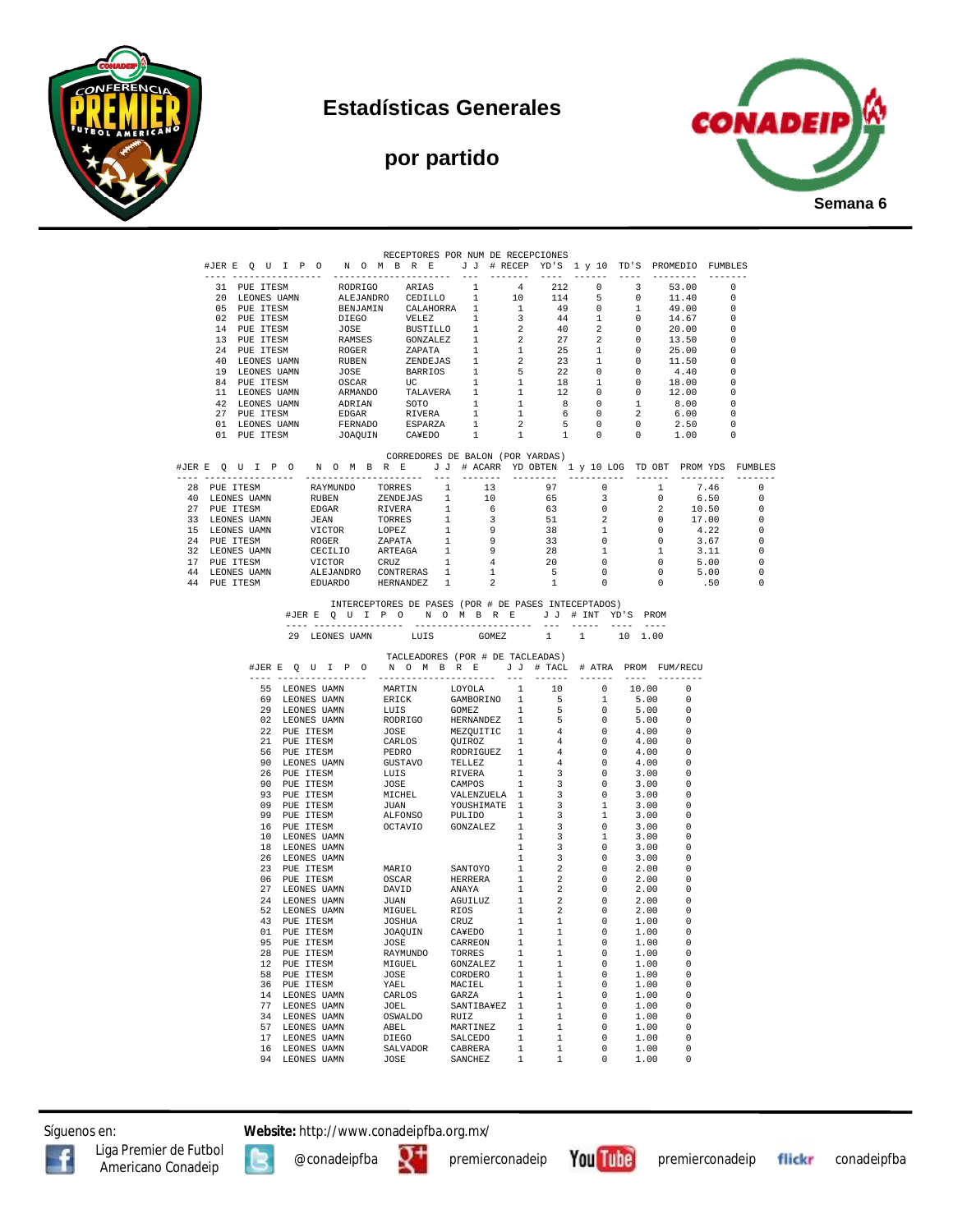

### **Estadísticas Generales**

# **por partido**



|                |                                  |    |                               |                                                                                  | RECEPTORES POR NUM DE RECEPCIONES<br>#JERE QUIPONOMBRE JJ # RECEP YD'S 1 y 10 TD'S PROMEDIO FUMBLES                                                                                                                                                                                                                                                                                                       |                          |                              |                                                                                                                                                                                                                                                                                                                                                                                              |                                                                             |          |                          |                            |                          |                                                      |
|----------------|----------------------------------|----|-------------------------------|----------------------------------------------------------------------------------|-----------------------------------------------------------------------------------------------------------------------------------------------------------------------------------------------------------------------------------------------------------------------------------------------------------------------------------------------------------------------------------------------------------|--------------------------|------------------------------|----------------------------------------------------------------------------------------------------------------------------------------------------------------------------------------------------------------------------------------------------------------------------------------------------------------------------------------------------------------------------------------------|-----------------------------------------------------------------------------|----------|--------------------------|----------------------------|--------------------------|------------------------------------------------------|
|                | --- -----------------            |    |                               |                                                                                  | NORTIGO ARTAS 1 4 212 0<br>NEJANDRO CEDILLO 1 4 212 0 3<br>BENJAMIN CALAHORRA 1 1 49 0 1<br>DIEGO VELEZ 1 3 44 1 0<br>JOSE BUSTILLO 1 2 40 2 0<br>ROGER ZAPATA 1 2 27 2 0<br>ROGER ZAPATA 1 1 25 1 0<br>RUBEN ZENDEJAS 1 2 23 1 0<br>JOSE BARR                                                                                                                                                            |                          | --------                     | $\frac{1}{2} \frac{1}{2} \frac{1}{2} \frac{1}{2} \frac{1}{2} \frac{1}{2} \frac{1}{2} \frac{1}{2} \frac{1}{2} \frac{1}{2} \frac{1}{2} \frac{1}{2} \frac{1}{2} \frac{1}{2} \frac{1}{2} \frac{1}{2} \frac{1}{2} \frac{1}{2} \frac{1}{2} \frac{1}{2} \frac{1}{2} \frac{1}{2} \frac{1}{2} \frac{1}{2} \frac{1}{2} \frac{1}{2} \frac{1}{2} \frac{1}{2} \frac{1}{2} \frac{1}{2} \frac{1}{2} \frac{$ | -------                                                                     | $\cdots$ |                          | ---------                  | $- - - - - - - -$        |                                                      |
|                | 31 PUE ITESM                     |    |                               |                                                                                  |                                                                                                                                                                                                                                                                                                                                                                                                           |                          |                              |                                                                                                                                                                                                                                                                                                                                                                                              |                                                                             |          |                          | 53.00                      | $\overline{\phantom{0}}$ |                                                      |
|                | 20 LEONES UAMN                   |    |                               |                                                                                  |                                                                                                                                                                                                                                                                                                                                                                                                           |                          |                              |                                                                                                                                                                                                                                                                                                                                                                                              |                                                                             |          |                          | 11.40                      |                          | $\overline{0}$                                       |
|                | 05 PUE ITESM<br>02 PUE ITESM     |    |                               |                                                                                  |                                                                                                                                                                                                                                                                                                                                                                                                           |                          |                              |                                                                                                                                                                                                                                                                                                                                                                                              |                                                                             |          |                          | 49.00<br>14.67             |                          | $\bigcirc$<br>$\circ$                                |
|                | 14 PUE ITESM                     |    |                               |                                                                                  |                                                                                                                                                                                                                                                                                                                                                                                                           |                          |                              |                                                                                                                                                                                                                                                                                                                                                                                              |                                                                             |          |                          |                            |                          | $\overline{\phantom{0}}$                             |
|                | 13 PUE ITESM                     |    |                               |                                                                                  |                                                                                                                                                                                                                                                                                                                                                                                                           |                          |                              |                                                                                                                                                                                                                                                                                                                                                                                              |                                                                             |          |                          | $0$ $20.00$<br>$0$ $13.50$ |                          | $\overline{\phantom{0}}$                             |
|                | 24 PUE ITESM                     |    |                               |                                                                                  |                                                                                                                                                                                                                                                                                                                                                                                                           |                          |                              |                                                                                                                                                                                                                                                                                                                                                                                              |                                                                             |          |                          | 25.00                      |                          | $\overline{\phantom{0}}$                             |
|                | 40 LEONES UAMN                   |    |                               |                                                                                  |                                                                                                                                                                                                                                                                                                                                                                                                           |                          |                              |                                                                                                                                                                                                                                                                                                                                                                                              |                                                                             |          |                          | 11.50                      |                          | $\overline{\phantom{0}}$                             |
|                | 19 LEONES UAMN                   |    |                               |                                                                                  |                                                                                                                                                                                                                                                                                                                                                                                                           |                          |                              |                                                                                                                                                                                                                                                                                                                                                                                              |                                                                             |          |                          | 4.40<br>$4.40$<br>$18.00$  |                          | $\overline{\phantom{0}}$                             |
|                | 84 PUE ITESM                     |    |                               |                                                                                  |                                                                                                                                                                                                                                                                                                                                                                                                           |                          |                              |                                                                                                                                                                                                                                                                                                                                                                                              |                                                                             |          |                          |                            |                          | $\Omega$<br>$\overline{\mathbf{0}}$                  |
|                | 11 LEONES UAMN<br>42 LEONES UAMN |    |                               |                                                                                  |                                                                                                                                                                                                                                                                                                                                                                                                           |                          |                              |                                                                                                                                                                                                                                                                                                                                                                                              |                                                                             |          |                          | 12.00<br>8.00              |                          | $\overline{0}$                                       |
| 27             | PUE ITESM                        |    |                               |                                                                                  |                                                                                                                                                                                                                                                                                                                                                                                                           |                          |                              |                                                                                                                                                                                                                                                                                                                                                                                              |                                                                             |          |                          |                            |                          | $\Omega$                                             |
| 01             | LEONES UAMN                      |    |                               |                                                                                  |                                                                                                                                                                                                                                                                                                                                                                                                           |                          |                              |                                                                                                                                                                                                                                                                                                                                                                                              |                                                                             |          |                          | $6.00$<br>$2.50$<br>$1.00$ |                          | $^{\circ}$                                           |
|                | 01 PUE ITESM                     |    |                               |                                                                                  |                                                                                                                                                                                                                                                                                                                                                                                                           |                          |                              |                                                                                                                                                                                                                                                                                                                                                                                              |                                                                             |          |                          |                            |                          | $\overline{0}$                                       |
|                |                                  |    |                               |                                                                                  |                                                                                                                                                                                                                                                                                                                                                                                                           |                          |                              |                                                                                                                                                                                                                                                                                                                                                                                              |                                                                             |          |                          |                            |                          |                                                      |
|                |                                  |    |                               |                                                                                  | CORREDORES DE BALON (POR YARDAS)<br>#JERE QUIPO NOMBRE JJ # ACARR YDOBTEN 1 y 10 LOG TDOBT PROMYDS FUMBLES                                                                                                                                                                                                                                                                                                |                          |                              |                                                                                                                                                                                                                                                                                                                                                                                              |                                                                             |          |                          |                            |                          |                                                      |
|                |                                  |    |                               |                                                                                  | #J&R ≤ 0 U P 0 N 0 M B R ≤ U J #ACARK YD OBTEN<br>28 PUE ITESM RAYMUNDO TORRES 1 13 97 0 1<br>40 LEONES UAMN RUBEN ZENDEJAS 1 10 65 3 0<br>27 PUE ITESM RUBEN ZENDEJAS 1 10 65 3 0<br>27 PUE ITESM RUBEN ZENDEJAS 1 6 63 0 2<br>33 LEO                                                                                                                                                                    |                          |                              |                                                                                                                                                                                                                                                                                                                                                                                              |                                                                             |          |                          |                            |                          | $- - - - - - - -$                                    |
|                |                                  |    |                               |                                                                                  |                                                                                                                                                                                                                                                                                                                                                                                                           |                          |                              |                                                                                                                                                                                                                                                                                                                                                                                              |                                                                             |          |                          |                            |                          | $\overline{0}$                                       |
|                |                                  |    |                               |                                                                                  |                                                                                                                                                                                                                                                                                                                                                                                                           |                          |                              |                                                                                                                                                                                                                                                                                                                                                                                              |                                                                             |          |                          |                            | 6.50                     | $\overline{0}$                                       |
|                |                                  |    |                               |                                                                                  |                                                                                                                                                                                                                                                                                                                                                                                                           |                          |                              |                                                                                                                                                                                                                                                                                                                                                                                              |                                                                             |          |                          |                            |                          | $\overline{0}$                                       |
|                |                                  |    |                               |                                                                                  |                                                                                                                                                                                                                                                                                                                                                                                                           |                          |                              |                                                                                                                                                                                                                                                                                                                                                                                              |                                                                             |          |                          |                            |                          | $\overline{\phantom{0}}$                             |
|                |                                  |    |                               |                                                                                  |                                                                                                                                                                                                                                                                                                                                                                                                           |                          |                              |                                                                                                                                                                                                                                                                                                                                                                                              |                                                                             |          |                          |                            |                          | $\overline{\phantom{0}}$<br>$\overline{\phantom{0}}$ |
|                |                                  |    |                               |                                                                                  |                                                                                                                                                                                                                                                                                                                                                                                                           |                          |                              |                                                                                                                                                                                                                                                                                                                                                                                              |                                                                             |          |                          |                            | $3.67$<br>$3.11$         | $\overline{0}$                                       |
|                |                                  |    |                               |                                                                                  |                                                                                                                                                                                                                                                                                                                                                                                                           |                          |                              |                                                                                                                                                                                                                                                                                                                                                                                              |                                                                             |          |                          |                            |                          | $\overline{\phantom{0}}$                             |
| 44 LEONES UAMN |                                  |    |                               |                                                                                  |                                                                                                                                                                                                                                                                                                                                                                                                           | $\mathbf{1}$             |                              |                                                                                                                                                                                                                                                                                                                                                                                              |                                                                             |          | $\overline{\phantom{0}}$ |                            |                          | $\overline{\phantom{0}}$                             |
| 44 PUE ITESM   |                                  |    |                               |                                                                                  | VICTOR CRUZ 1<br>ALEJANDRO CONTRERAS 1<br>EDUARDO HERNANDEZ 1                                                                                                                                                                                                                                                                                                                                             | $\overline{\phantom{a}}$ |                              |                                                                                                                                                                                                                                                                                                                                                                                              |                                                                             |          | $\overline{0}$           |                            | $5.00$<br>.50            | $\hspace{0.1cm} 0$                                   |
|                |                                  |    |                               |                                                                                  |                                                                                                                                                                                                                                                                                                                                                                                                           |                          |                              |                                                                                                                                                                                                                                                                                                                                                                                              | $\begin{array}{ccc} 28 & & & \\ 20 & & 0 \\ 5 & & 0 \\ 1 & & 0 \end{array}$ |          |                          |                            |                          |                                                      |
|                |                                  |    |                               |                                                                                  | INTERCEPTORES DE PASES (POR # DE PASES INTECEPTADOS)                                                                                                                                                                                                                                                                                                                                                      |                          |                              |                                                                                                                                                                                                                                                                                                                                                                                              |                                                                             |          |                          |                            |                          |                                                      |
|                |                                  |    |                               |                                                                                  |                                                                                                                                                                                                                                                                                                                                                                                                           |                          |                              |                                                                                                                                                                                                                                                                                                                                                                                              | --- ----- ---- ----                                                         |          |                          |                            |                          |                                                      |
|                |                                  |    |                               | 29 LEONES UAMN                                                                   | LUIS GOMEZ 1                                                                                                                                                                                                                                                                                                                                                                                              |                          |                              |                                                                                                                                                                                                                                                                                                                                                                                              | 1 10 1.00                                                                   |          |                          |                            |                          |                                                      |
|                |                                  |    |                               |                                                                                  | TACLEADORES (POR # DE TACLEADAS)<br>#JERE Q U I P O N O M B R E J J # TACL # ATRA PROM FUM/RECU<br>-----------------------<br>1991 - A BOONES UAMN PARTIN MONOLOGICAL COMPOSITION (1997) 1991 - 1992 - 1993 - 1993 - 1994 - 1994 - 1994 - 1994 - 1994 - 1994 - 1994 - 1994 - 1994 - 1994 - 1994 - 1994 - 1994 - 1994 - 1994 - 1994 - 1994 - 1994 - 1994 - 19                                              |                          |                              | ---- -------                                                                                                                                                                                                                                                                                                                                                                                 |                                                                             |          | --------------           |                            |                          |                                                      |
|                |                                  |    |                               |                                                                                  |                                                                                                                                                                                                                                                                                                                                                                                                           |                          |                              |                                                                                                                                                                                                                                                                                                                                                                                              |                                                                             |          |                          |                            |                          |                                                      |
|                |                                  |    |                               |                                                                                  |                                                                                                                                                                                                                                                                                                                                                                                                           |                          |                              |                                                                                                                                                                                                                                                                                                                                                                                              |                                                                             |          |                          |                            |                          |                                                      |
|                |                                  |    |                               |                                                                                  |                                                                                                                                                                                                                                                                                                                                                                                                           |                          |                              |                                                                                                                                                                                                                                                                                                                                                                                              |                                                                             |          |                          |                            |                          |                                                      |
|                |                                  |    |                               |                                                                                  |                                                                                                                                                                                                                                                                                                                                                                                                           |                          |                              |                                                                                                                                                                                                                                                                                                                                                                                              |                                                                             |          |                          |                            |                          |                                                      |
|                |                                  |    |                               |                                                                                  |                                                                                                                                                                                                                                                                                                                                                                                                           |                          |                              |                                                                                                                                                                                                                                                                                                                                                                                              |                                                                             |          |                          |                            |                          |                                                      |
|                |                                  |    |                               |                                                                                  |                                                                                                                                                                                                                                                                                                                                                                                                           |                          |                              |                                                                                                                                                                                                                                                                                                                                                                                              |                                                                             |          |                          |                            |                          |                                                      |
|                |                                  |    |                               |                                                                                  |                                                                                                                                                                                                                                                                                                                                                                                                           |                          |                              |                                                                                                                                                                                                                                                                                                                                                                                              |                                                                             |          |                          |                            |                          |                                                      |
|                |                                  |    |                               |                                                                                  |                                                                                                                                                                                                                                                                                                                                                                                                           |                          |                              |                                                                                                                                                                                                                                                                                                                                                                                              |                                                                             |          |                          |                            |                          |                                                      |
|                |                                  |    | 93 PUE ITESM                  |                                                                                  | <b>MICHEL VALENZUELA 1<br/>TIIAN YOUSHIMATE 1</b>                                                                                                                                                                                                                                                                                                                                                         |                          |                              | $\overline{\mathbf{3}}$                                                                                                                                                                                                                                                                                                                                                                      | $\overline{0}$                                                              |          | 3.00                     | $\Omega$                   |                          |                                                      |
|                |                                  |    | 09 PUE ITESM                  |                                                                                  | <b>JUAN</b>                                                                                                                                                                                                                                                                                                                                                                                               | YOUSHIMATE 1             |                              | $\overline{\mathbf{3}}$                                                                                                                                                                                                                                                                                                                                                                      | $\mathbf{1}$                                                                |          | 3.00                     | $\Omega$                   |                          |                                                      |
|                |                                  |    | 99 PUE ITESM                  |                                                                                  | ALFONSO PULIDO 1<br>OCTAVIO GONZALEZ 1                                                                                                                                                                                                                                                                                                                                                                    |                          |                              | $\overline{\mathbf{3}}$                                                                                                                                                                                                                                                                                                                                                                      | $\mathbf{1}$                                                                |          | 3.00                     | $\Omega$                   |                          |                                                      |
|                |                                  |    | 16 PUE ITESM                  |                                                                                  |                                                                                                                                                                                                                                                                                                                                                                                                           |                          |                              | $\overline{\mathbf{3}}$                                                                                                                                                                                                                                                                                                                                                                      | $\circ$                                                                     |          | 3.00                     | $\Omega$                   |                          |                                                      |
|                |                                  | 18 | 10 LEONES UAMN<br>LEONES UAMN |                                                                                  |                                                                                                                                                                                                                                                                                                                                                                                                           |                          | $\mathbf{1}$<br>$\mathbf{1}$ | $\overline{\mathbf{3}}$<br>$\overline{3}$                                                                                                                                                                                                                                                                                                                                                    | $\mathbf{1}$<br>$\Omega$                                                    |          | 3.00<br>3.00             | $\Omega$<br>$\Omega$       |                          |                                                      |
|                |                                  | 26 | LEONES UAMN                   |                                                                                  |                                                                                                                                                                                                                                                                                                                                                                                                           |                          | $\mathbf{1}$                 | $\overline{\mathbf{3}}$                                                                                                                                                                                                                                                                                                                                                                      | $\overline{0}$                                                              |          | 3.00                     |                            |                          |                                                      |
|                |                                  | 23 | PUE ITESM                     |                                                                                  | MARIO SANTOYO I<br>OSCAR HERRERA 1<br>DAVID ANAYA 1                                                                                                                                                                                                                                                                                                                                                       |                          |                              | $\overline{\phantom{a}}$                                                                                                                                                                                                                                                                                                                                                                     | $\overline{0}$                                                              |          | 2.00                     | $\Omega$                   |                          |                                                      |
|                |                                  |    | 06 PUE ITESM                  |                                                                                  |                                                                                                                                                                                                                                                                                                                                                                                                           |                          |                              | $\overline{\phantom{a}}$                                                                                                                                                                                                                                                                                                                                                                     | $\overline{0}$                                                              |          | 2.00                     | 0                          |                          |                                                      |
|                |                                  |    |                               | 27 LEONES UAMN                                                                   |                                                                                                                                                                                                                                                                                                                                                                                                           |                          | 1                            | $\overline{\phantom{a}}$                                                                                                                                                                                                                                                                                                                                                                     | $\overline{0}$                                                              |          | 2.00                     | $\Omega$                   |                          |                                                      |
|                |                                  |    |                               | 24 LEONES UAMN                                                                   | <b>JUAN</b>                                                                                                                                                                                                                                                                                                                                                                                               | AGUILUZ 1<br>RIOS 1      |                              | $\overline{\phantom{a}}$                                                                                                                                                                                                                                                                                                                                                                     | $\overline{\mathbf{0}}$                                                     |          | 2.00                     | 0                          |                          |                                                      |
|                |                                  |    |                               | 52 LEONES UAMN<br>52 LEONES UAMN<br>43 PUE ITESM<br>01 PUE ITESM<br>95 PUE ITESM | MIGUEL<br>JOSHUA                                                                                                                                                                                                                                                                                                                                                                                          |                          |                              | $\overline{\phantom{a}}$                                                                                                                                                                                                                                                                                                                                                                     | $\overline{0}$                                                              |          | 2.00                     | 0                          |                          |                                                      |
|                |                                  |    |                               |                                                                                  |                                                                                                                                                                                                                                                                                                                                                                                                           | CRUZ                     | 1<br>1                       | $\overline{1}$<br>1                                                                                                                                                                                                                                                                                                                                                                          | $\overline{0}$<br>$\overline{0}$                                            |          | 1.00<br>1.00             | $\Omega$<br>0              |                          |                                                      |
|                |                                  |    |                               |                                                                                  | JOAQUIN CA¥EDO<br>JOSE CARREON                                                                                                                                                                                                                                                                                                                                                                            |                          | 1                            | 1                                                                                                                                                                                                                                                                                                                                                                                            | $\overline{0}$                                                              |          | 1.00                     | $\Omega$                   |                          |                                                      |
|                |                                  |    | 28 PUE ITESM                  |                                                                                  | RAYMUNDO TORRES                                                                                                                                                                                                                                                                                                                                                                                           |                          | 1                            | 1                                                                                                                                                                                                                                                                                                                                                                                            | $\overline{0}$                                                              |          | 1.00                     |                            |                          |                                                      |
|                |                                  |    | 12 PUE ITESM                  |                                                                                  |                                                                                                                                                                                                                                                                                                                                                                                                           |                          |                              |                                                                                                                                                                                                                                                                                                                                                                                              | $\overline{\phantom{0}}$                                                    |          | 1.00                     |                            |                          |                                                      |
|                |                                  |    | 58 PUE ITESM                  |                                                                                  |                                                                                                                                                                                                                                                                                                                                                                                                           |                          |                              |                                                                                                                                                                                                                                                                                                                                                                                              |                                                                             |          | 1.00                     |                            |                          |                                                      |
|                |                                  |    | 36 PUE ITESM                  |                                                                                  |                                                                                                                                                                                                                                                                                                                                                                                                           |                          |                              |                                                                                                                                                                                                                                                                                                                                                                                              | $\overline{\phantom{0}}$                                                    |          | 1.00                     | $\Omega$                   |                          |                                                      |
|                |                                  |    |                               | 14 LEONES UAMN<br>77 LEONES UAMN                                                 |                                                                                                                                                                                                                                                                                                                                                                                                           |                          |                              |                                                                                                                                                                                                                                                                                                                                                                                              | $\overline{\phantom{0}}$                                                    |          | 1.00                     | $\Omega$                   |                          |                                                      |
|                |                                  |    |                               |                                                                                  |                                                                                                                                                                                                                                                                                                                                                                                                           |                          |                              |                                                                                                                                                                                                                                                                                                                                                                                              | $\overline{\mathbf{0}}$                                                     |          | 1.00                     | $\Omega$                   |                          |                                                      |
|                |                                  |    |                               | 34 LEONES UAMN                                                                   |                                                                                                                                                                                                                                                                                                                                                                                                           |                          |                              |                                                                                                                                                                                                                                                                                                                                                                                              |                                                                             |          | 1.00                     | $\Omega$<br>$\Omega$       |                          |                                                      |
|                |                                  |    |                               | 57 LEONES UAMN<br>17 LEONES UAMN                                                 |                                                                                                                                                                                                                                                                                                                                                                                                           |                          |                              |                                                                                                                                                                                                                                                                                                                                                                                              |                                                                             |          | 1.00<br>1.00             | $\Omega$                   |                          |                                                      |
|                |                                  |    | 16 LEONES UAMN                |                                                                                  | $\begin{tabular}{cccc} RAYMUNDO & TORRES & 1 & 1 & 0 \\ MIGUEL & GONZALEZ & 1 & 1 & 0 \\ JOSE & CONBERO & 1 & 1 & 0 \\ YAEL & MACIEL & 1 & 1 & 0 \\ CARLOS & GARZA & 1 & 1 & 0 \\ JOSE & SANTIBAYEZ & 1 & 1 & 0 \\ JOSEL & SMTIS & 1 & 1 & 0 \\ OSWALDO & RUTZ & 1 & 1 & 0 \\ ABEL & MARTINEZ & 1 & 1 & 0 \\ DEEGO & SAICEDO & 1 & 1 & 0 \\ DIEGO & GABRERA & 1 & 1 & 0 \\ JOSE & GANCHEZ & 1 & 1 & 0 \\$ |                          |                              |                                                                                                                                                                                                                                                                                                                                                                                              |                                                                             |          | 1.00                     |                            |                          |                                                      |
|                |                                  |    | 94 LEONES UAMN                |                                                                                  | <b>JOSE</b>                                                                                                                                                                                                                                                                                                                                                                                               | SANCHEZ                  |                              | $1 \qquad \qquad$<br>1                                                                                                                                                                                                                                                                                                                                                                       |                                                                             |          | 1.00                     |                            |                          |                                                      |

Síguenos en: **Website:** http://www.conadeipfba.org.mx/